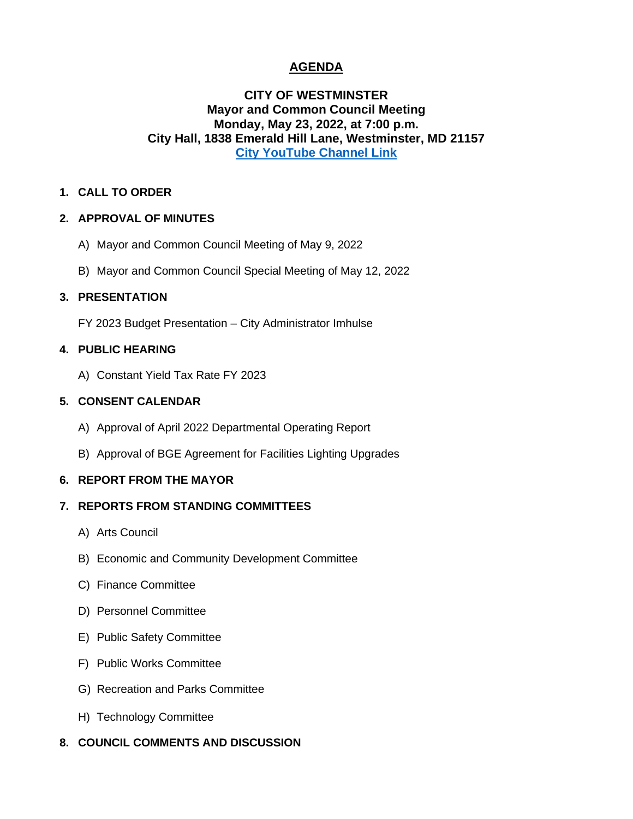# **AGENDA**

## **CITY OF WESTMINSTER Mayor and Common Council Meeting Monday, May 23, 2022, at 7:00 p.m. City Hall, 1838 Emerald Hill Lane, Westminster, MD 21157 [City YouTube Channel Link](https://www.youtube.com/channel/UCnaLV8N68x1twYyjn95_TrQ)**

#### **1. CALL TO ORDER**

## **2. APPROVAL OF MINUTES**

- A) Mayor and Common Council Meeting of May 9, 2022
- B) Mayor and Common Council Special Meeting of May 12, 2022

## **3. PRESENTATION**

FY 2023 Budget Presentation – City Administrator Imhulse

## **4. PUBLIC HEARING**

A) Constant Yield Tax Rate FY 2023

## **5. CONSENT CALENDAR**

- A) Approval of April 2022 Departmental Operating Report
- B) Approval of BGE Agreement for Facilities Lighting Upgrades

#### **6. REPORT FROM THE MAYOR**

## **7. REPORTS FROM STANDING COMMITTEES**

- A) Arts Council
- B) Economic and Community Development Committee
- C) Finance Committee
- D) Personnel Committee
- E) Public Safety Committee
- F) Public Works Committee
- G) Recreation and Parks Committee
- H) Technology Committee
- **8. COUNCIL COMMENTS AND DISCUSSION**